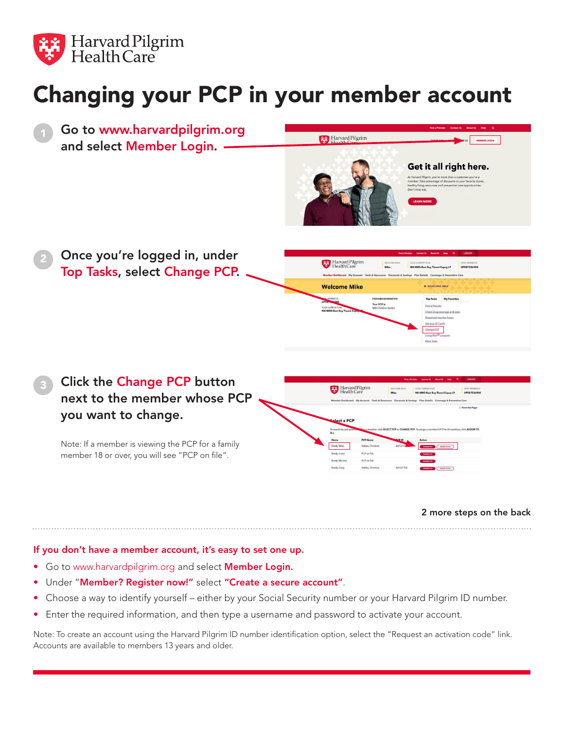

## Changing your PCP in your member account



Note: If a member is viewing the PCP for a family member 18 or over, you will see "PCP on file".

2 more steps on the back

## If you don't have a member account, it's easy to set one up.

- Go to www.harvardpilgrim.org and select **Member Login.**
- Under "Member? Register now!" select "Create a secure account".
- Choose a way to identify yourself either by your Social Security number or your Harvard Pilgrim ID number.
- Enter the required information, and then type a username and password to activate your account.

Note: To create an account using the Harvard Pilgrim ID number identification option, select the "Request an activation code" link. Accounts are available to members 13 years and older.